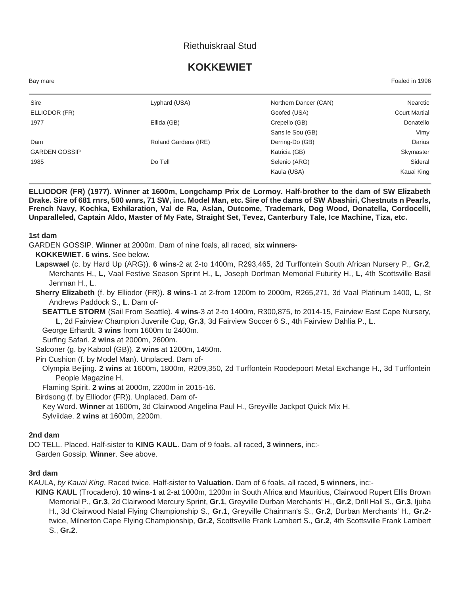# Riethuiskraal Stud

# **KOKKEWIET**

Bay mare Foaled in 1996

| Sire                 | Lyphard (USA)        | Northern Dancer (CAN) | Nearctic             |
|----------------------|----------------------|-----------------------|----------------------|
| ELLIODOR (FR)        |                      | Goofed (USA)          | <b>Court Martial</b> |
| 1977                 | Ellida (GB)          | Crepello (GB)         | Donatello            |
|                      |                      | Sans le Sou (GB)      | Vimy                 |
| Dam                  | Roland Gardens (IRE) | Derring-Do (GB)       | Darius               |
| <b>GARDEN GOSSIP</b> |                      | Katricia (GB)         | Skymaster            |
| 1985                 | Do Tell              | Selenio (ARG)         | Sideral              |
|                      |                      | Kaula (USA)           | Kauai King           |
|                      |                      |                       |                      |

**ELLIODOR (FR) (1977). Winner at 1600m, Longchamp Prix de Lormoy. Half-brother to the dam of SW Elizabeth Drake. Sire of 681 rnrs, 500 wnrs, 71 SW, inc. Model Man, etc. Sire of the dams of SW Abashiri, Chestnuts n Pearls, French Navy, Kochka, Exhilaration, Val de Ra, Aslan, Outcome, Trademark, Dog Wood, Donatella, Cordocelli, Unparalleled, Captain Aldo, Master of My Fate, Straight Set, Tevez, Canterbury Tale, Ice Machine, Tiza, etc.**

#### **1st dam**

GARDEN GOSSIP. **Winner** at 2000m. Dam of nine foals, all raced, **six winners**-

**KOKKEWIET**. **6 wins**. See below.

**Lapswael** (c. by Hard Up (ARG)). **6 wins**-2 at 2-to 1400m, R293,465, 2d Turffontein South African Nursery P., **Gr.2**, Merchants H., **L**, Vaal Festive Season Sprint H., **L**, Joseph Dorfman Memorial Futurity H., **L**, 4th Scottsville Basil Jenman H., **L**.

**Sherry Elizabeth** (f. by Elliodor (FR)). **8 wins**-1 at 2-from 1200m to 2000m, R265,271, 3d Vaal Platinum 1400, **L**, St Andrews Paddock S., **L**. Dam of-

**SEATTLE STORM** (Sail From Seattle). **4 wins**-3 at 2-to 1400m, R300,875, to 2014-15, Fairview East Cape Nursery, **L**, 2d Fairview Champion Juvenile Cup, **Gr.3**, 3d Fairview Soccer 6 S., 4th Fairview Dahlia P., **L**.

George Erhardt. **3 wins** from 1600m to 2400m.

Surfing Safari. **2 wins** at 2000m, 2600m.

Salconer (g. by Kabool (GB)). **2 wins** at 1200m, 1450m.

Pin Cushion (f. by Model Man). Unplaced. Dam of-

Olympia Beijing. **2 wins** at 1600m, 1800m, R209,350, 2d Turffontein Roodepoort Metal Exchange H., 3d Turffontein People Magazine H.

Flaming Spirit. **2 wins** at 2000m, 2200m in 2015-16.

Birdsong (f. by Elliodor (FR)). Unplaced. Dam of-

Key Word. **Winner** at 1600m, 3d Clairwood Angelina Paul H., Greyville Jackpot Quick Mix H. Sylviidae. **2 wins** at 1600m, 2200m.

### **2nd dam**

DO TELL. Placed. Half-sister to **KING KAUL**. Dam of 9 foals, all raced, **3 winners**, inc:-

Garden Gossip. **Winner**. See above.

#### **3rd dam**

KAULA, *by Kauai King*. Raced twice. Half-sister to **Valuation**. Dam of 6 foals, all raced, **5 winners**, inc:-

**KING KAUL** (Trocadero). **10 wins**-1 at 2-at 1000m, 1200m in South Africa and Mauritius, Clairwood Rupert Ellis Brown Memorial P., **Gr.3**, 2d Clairwood Mercury Sprint, **Gr.1**, Greyville Durban Merchants' H., **Gr.2**, Drill Hall S., **Gr.3**, Ijuba H., 3d Clairwood Natal Flying Championship S., **Gr.1**, Greyville Chairman's S., **Gr.2**, Durban Merchants' H., **Gr.2** twice, Milnerton Cape Flying Championship, **Gr.2**, Scottsville Frank Lambert S., **Gr.2**, 4th Scottsville Frank Lambert S., **Gr.2**.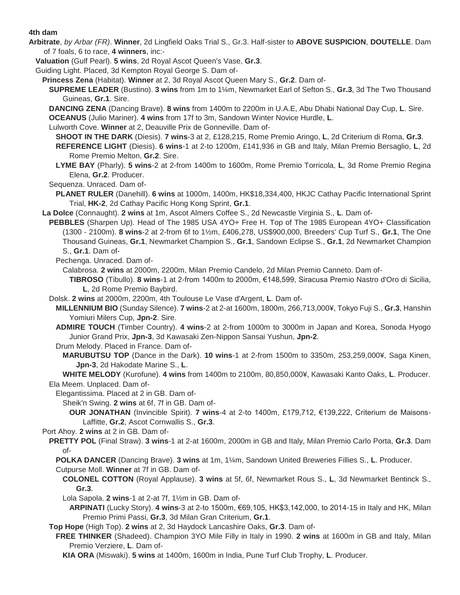#### **4th dam**

- **Arbitrate**, *by Arbar (FR)*. **Winner**, 2d Lingfield Oaks Trial S., Gr.3. Half-sister to **ABOVE SUSPICION**, **DOUTELLE**. Dam of 7 foals, 6 to race, **4 winners**, inc:-
	- **Valuation** (Gulf Pearl). **5 wins**, 2d Royal Ascot Queen's Vase, **Gr.3**.
	- Guiding Light. Placed, 3d Kempton Royal George S. Dam of-
		- **Princess Zena** (Habitat). **Winner** at 2, 3d Royal Ascot Queen Mary S., **Gr.2**. Dam of-
			- **SUPREME LEADER** (Bustino). **3 wins** from 1m to 1¼m, Newmarket Earl of Sefton S., **Gr.3**, 3d The Two Thousand Guineas, **Gr.1**. Sire.
			- **DANCING ZENA** (Dancing Brave). **8 wins** from 1400m to 2200m in U.A.E, Abu Dhabi National Day Cup, **L**. Sire.
			- **OCEANUS** (Julio Mariner). **4 wins** from 17f to 3m, Sandown Winter Novice Hurdle, **L**.
			- Lulworth Cove. **Winner** at 2, Deauville Prix de Gonneville. Dam of-
			- **SHOOT IN THE DARK** (Diesis). **7 wins**-3 at 2, £128,215, Rome Premio Aringo, **L**, 2d Criterium di Roma, **Gr.3**.
			- **REFERENCE LIGHT** (Diesis). **6 wins**-1 at 2-to 1200m, £141,936 in GB and Italy, Milan Premio Bersaglio, **L**, 2d Rome Premio Melton, **Gr.2**. Sire.
			- **LYME BAY** (Pharly). **5 wins**-2 at 2-from 1400m to 1600m, Rome Premio Torricola, **L**, 3d Rome Premio Regina Elena, **Gr.2**. Producer.
			- Sequenza. Unraced. Dam of-
			- **PLANET RULER** (Danehill). **6 wins** at 1000m, 1400m, HK\$18,334,400, HKJC Cathay Pacific International Sprint Trial, **HK-2**, 2d Cathay Pacific Hong Kong Sprint, **Gr.1**.
		- **La Dolce** (Connaught). **2 wins** at 1m, Ascot Almers Coffee S., 2d Newcastle Virginia S., **L**. Dam of-
		- **PEBBLES** (Sharpen Up). Head of The 1985 USA 4YO+ Free H. Top of The 1985 European 4YO+ Classification (1300 - 2100m). **8 wins**-2 at 2-from 6f to 1½m, £406,278, US\$900,000, Breeders' Cup Turf S., **Gr.1**, The One Thousand Guineas, **Gr.1**, Newmarket Champion S., **Gr.1**, Sandown Eclipse S., **Gr.1**, 2d Newmarket Champion S., **Gr.1**. Dam of-
			- Pechenga. Unraced. Dam of-
				- Calabrosa. **2 wins** at 2000m, 2200m, Milan Premio Candelo, 2d Milan Premio Canneto. Dam of-
					- **TIBROSO** (Tibullo). **8 wins**-1 at 2-from 1400m to 2000m, €148,599, Siracusa Premio Nastro d'Oro di Sicilia, **L**, 2d Rome Premio Baybird.
		- Dolsk. **2 wins** at 2000m, 2200m, 4th Toulouse Le Vase d'Argent, **L**. Dam of-
			- **MILLENNIUM BIO** (Sunday Silence). **7 wins**-2 at 2-at 1600m, 1800m, 266,713,000¥, Tokyo Fuji S., **Gr.3**, Hanshin Yomiuri Milers Cup, **Jpn-2**. Sire.
			- **ADMIRE TOUCH** (Timber Country). **4 wins**-2 at 2-from 1000m to 3000m in Japan and Korea, Sonoda Hyogo Junior Grand Prix, **Jpn-3**, 3d Kawasaki Zen-Nippon Sansai Yushun, **Jpn-2**.
			- Drum Melody. Placed in France. Dam of-
				- **MARUBUTSU TOP** (Dance in the Dark). **10 wins**-1 at 2-from 1500m to 3350m, 253,259,000¥, Saga Kinen, **Jpn-3**, 2d Hakodate Marine S., **L**.
		- **WHITE MELODY** (Kurofune). **4 wins** from 1400m to 2100m, 80,850,000¥, Kawasaki Kanto Oaks, **L**. Producer. Ela Meem. Unplaced. Dam of-
			- Elegantissima. Placed at 2 in GB. Dam of-
				- Sheik'n Swing. **2 wins** at 6f, 7f in GB. Dam of-
				- **OUR JONATHAN** (Invincible Spirit). **7 wins**-4 at 2-to 1400m, £179,712, €139,222, Criterium de Maisons-Laffitte, **Gr.2**, Ascot Cornwallis S., **Gr.3**.
		- Port Ahoy. **2 wins** at 2 in GB. Dam of-
		- **PRETTY POL** (Final Straw). **3 wins**-1 at 2-at 1600m, 2000m in GB and Italy, Milan Premio Carlo Porta, **Gr.3**. Dam of-
			- **POLKA DANCER** (Dancing Brave). **3 wins** at 1m, 1¼m, Sandown United Breweries Fillies S., **L**. Producer. Cutpurse Moll. **Winner** at 7f in GB. Dam of-
				- **COLONEL COTTON** (Royal Applause). **3 wins** at 5f, 6f, Newmarket Rous S., **L**, 3d Newmarket Bentinck S., **Gr.3**.
				- Lola Sapola. **2 wins**-1 at 2-at 7f, 1½m in GB. Dam of-
				- **ARPINATI** (Lucky Story). **4 wins**-3 at 2-to 1500m, €69,105, HK\$3,142,000, to 2014-15 in Italy and HK, Milan Premio Primi Passi, **Gr.3**, 3d Milan Gran Criterium, **Gr.1**.
		- **Top Hope** (High Top). **2 wins** at 2, 3d Haydock Lancashire Oaks, **Gr.3**. Dam of-
		- **FREE THINKER** (Shadeed). Champion 3YO Mile Filly in Italy in 1990. **2 wins** at 1600m in GB and Italy, Milan Premio Verziere, **L**. Dam of-
			- **KIA ORA** (Miswaki). **5 wins** at 1400m, 1600m in India, Pune Turf Club Trophy, **L**. Producer.